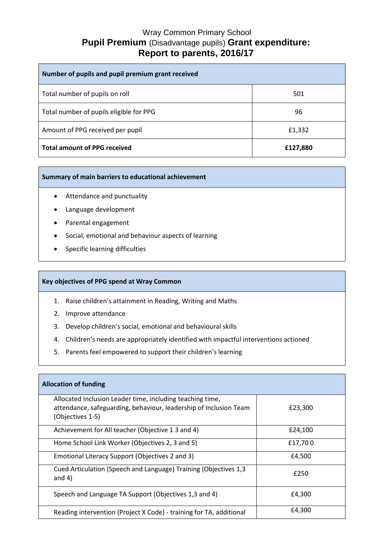## Wray Common Primary School **Pupil Premium** (Disadvantage pupils) **Grant expenditure: Report to parents, 2016/17**

| Number of pupils and pupil premium grant received |          |
|---------------------------------------------------|----------|
| Total number of pupils on roll                    | 501      |
| Total number of pupils eligible for PPG           | 96       |
| Amount of PPG received per pupil                  | £1,332   |
| <b>Total amount of PPG received</b>               | £127,880 |

## **Summary of main barriers to educational achievement**

- Attendance and punctuality
- Language development
- Parental engagement
- Social, emotional and behaviour aspects of learning
- Specific learning difficulties

## **Key objectives of PPG spend at Wray Common**

- 1. Raise children's attainment in Reading, Writing and Maths
- 2. Improve attendance
- 3. Develop children's social, emotional and behavioural skills
- 4. Children's needs are appropriately identified with impactful interventions actioned
- 5. Parents feel empowered to support their children's learning

| <b>Allocation of funding</b>                                                                                                                       |         |  |
|----------------------------------------------------------------------------------------------------------------------------------------------------|---------|--|
| Allocated Inclusion Leader time, including teaching time,<br>attendance, safeguarding, behaviour, leadership of Inclusion Team<br>(Objectives 1-5) | £23,300 |  |
| Achievement for All teacher (Objective 13 and 4)                                                                                                   | £24,100 |  |
| Home School Link Worker (Objectives 2, 3 and 5)                                                                                                    | £17,700 |  |
| Emotional Literacy Support (Objectives 2 and 3)                                                                                                    | £4,500  |  |
| Cued Articulation (Speech and Language) Training (Objectives 1,3<br>and $4)$                                                                       | £250    |  |
| Speech and Language TA Support (Objectives 1,3 and 4)                                                                                              | £4,300  |  |
| Reading intervention (Project X Code) - training for TA, additional                                                                                | £4,300  |  |